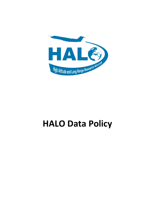

# **HALO Data Policy**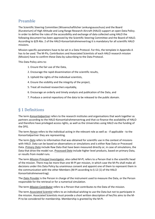# Preamble

The Scientific Steering Committee (Wissenschaftlicher Lenkungsausschuss) and the Board (Kuratorium) of High Altitude and Long Range Research Aircraft (HALO) support an open Data Policy. In order to define the rules of the accessibility and exchange of data collected using HALO the following document has been approved by the Scientific Steering Committee and the Board of HALO. According to §29 Abs. 2 of the HALO-Konsortialrahmenvertrag it is mandatory for all scientific HALO missions.

Mission-specific parameters have to be set in a Data Protocol. For this, the template in Appendix A has to be used. The M-PIs, Contributors and Associated Scientists of each HALO research mission (Mission) have to confirm these Data by subscribing to the Data Protocol.

This Data Policy aims to:

- 1. Ensure the fair use of the Data,
- 2. Encourage the rapid dissemination of the scientific results,
- 3. Uphold the rights of the individual scientists,
- 4. Ensure the visibility and the integrity of the project,
- 5. Treat all involved researchers equitably,
- 6. Encourage an orderly and timely analysis and publication of the Data, and
- 7. Produce a central repository of the data to be released to the public domain.

#### § 1 Definitions

The term *Konsortialpartner* refers to the research institutes and organisations that work together as partners according to the HALO-Konsortialrahmenvertrag and that co-finance the availability of HALO and therefore have privileged access rights, as well as the Universities using HALO via the funding of the DFG.

The term *Person* refers to the individual acting in the relevant role as well as - if applicable - to the Konsortialpartner they are representing.

The term *Data* refers to information that was obtained for scientific use in the context of missions with HALO. Data can be based on observations or simulations and is either Raw Data or Processed Data. *Primary Data* include Raw Data that have been measured directly or, in case of simulations, the Data that drive the model run. *Processed Data* include higher level products, based on primary Data, or results from model runs.

The term *Mission Principal Investigator,* also called *M-PI*, refers to a Person that is the scientific head of the mission. There may be more than one M-PI per mission, in which case the M-PIs shall make all decisions under this Data Policy by unanimous consent and appoint one of them to represent them in the communication with the other Members (M-PI according to § 12 (1) of the HALO Konsortialrahmenvertrag).

The *Data Provider* is the Person in charge of the instrument used to measure the Data, or the Person responsible for the retrieval or for a numerical simulation.

The term *Mission Contributor* refers to a Person that contributes to the Data of the mission.

The term *Associated Scientist* refers to an individual wishing to use the Data but not to participate in the mission. Associated Scientists must provide a short written description of her/his aims to the M-PI to be considered for membership. Membership is granted by the M-PI.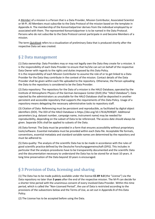A *Member* of a mission is a Person that is a Data Provider, Mission Contributor, Associated Scientist or M-PI. All Members must subscribe to the Data Protocol of the mission based on the template in Appendix A. The membership of the Konsortialpartner derives from the individual employed by or associated with them. The represented Konsortialpartner is to be named in the Data Protocol. Persons who do not subscribe to the Data Protocol cannot participate in and become Members of a mission.

The term *Quicklook* refers to a visualization of preliminary Data that is produced shortly after the respective Data set was created.

## § 2 Data management

(1) Data ownership: Data Providers may or may not legally own the Data they create for a mission. It is the responsibility of each Data Provider to ensure that he/she can act on behalf of the respective Data Owner with regards to the rights and duties imposed by this Data Policy.

It is the responsibility of each Mission Contributor to assume the role of or to get linked to a Data Provider for the Data they contribute in the context of the mission. Contact details of the Data Provider shall be given within each file uploaded to the repository. Otherwise, the Person uploading the Data to the repository is considered to be the Data Provider.

(2) Data repository: The repository for the Data of a mission is the HALO Database, operated by the Institute of Atmospheric Physics of the German Aerospace Center (DLR) (the "*HALO Database*"). Data rejected by the administrators as unsuitable for the HALO Database shall be deposited in another persistent and accessible repository that supports the requirements of this Data Policy. Usage of a repository means delegating the necessary administrative tasks to repository staff.

(3) Citation of Data: Referencing must be persistent and reproducible, as facilitated by digital object identifiers (DOI). The DOI of the HALO Database is https://doi.org/10.17616/R39Q0T. Additional parameters (e.g. dataset number, campaign name, instrument name) may be needed for reproducibility, depending on the subset of Data to be referenced. The access date should always be given. Separate DOIs shall be applied to subsets of the Data.

(4) Data format: The Data must be provided in a form that ensures accessibility without proprietary tools/software. Essential metadata must be provided within each Data file. Acceptable file formats, conventions, essential metadata and standard variable names are determined by the repository and must be adhered to.

(5) Data quality: The analysis of the scientific Data has to be made in accordance with the rules of good scientific practice defined by the Deutsche Forschungsgemeinschaft (DFG). This includes in particular that the analysis procedures have to be transparently documented and the scientific Data and the documentation necessary to understand the Data has to be stored for at least 10 years. A long time preservation of the Data beyond 10 years is encouraged.

# § 3 Provision of Data, licensing and sharing

(1) The Data has to be made publicly available under the license **CC-BY 4.0** (the "*License*") via the Data repository no later than **5 years** after the end of the respective mission. The M-PI can decide for a shorter time period with the unanimous consent of every involved Data Provider. Within this time period, which is called the "Non-Licensed Period", the use of Data is restricted according to the provisions of the subsections below and the Terms of Use, as set out in Appendix B of this Data Policy.

(2) The License has to be accepted before using the Data.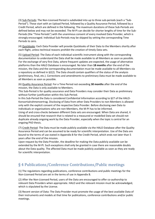(3) Sub-Periods: The Non-Licensed Period is subdivided into up to three sub-periods (each a "Sub-Period"). These start with an Upload Period, followed by a Quality Assurance Period, followed by a Credit Period, which are defined in the following. The maximum durations of these Sub-Periods are defined below and may not be exceeded. The M-PI can decide for shorter lengths of time for the Sub-Periods (the "Time Periods") with the unanimous consent of every involved Data Provider, which is strongly encouraged. Individual Sub-Periods may be skipped by setting the corresponding Time Periods to zero.

(4) Quicklooks: Each Data Provider will provide Quicklooks of their Data to the Members shortly after each flight, unless technical reasons prohibit the creation of timely Data sets.

(5) Upload Period: The Data of each individual scientific instrument along with the corresponding documentation to understand the Data shall be made available to all Members as soon as possible. For the exchange of very first Data, where frequent updates are expected, the usage of alternative platforms than the HALO Database is encouraged. No later than **18 months** after the end of the mission, the Data and the corresponding documentation must be made available to all Members via a repository as defined in §2(2). The Data should contain qualifiers of the status of the analysis (preliminary, final, etc.). Corrections and amendments to preliminary Data must be made available to all Members as soon as possible.

(6) Quality Assurance Period: For a Time Period not exceeding **30 months** after the end of the mission, the Data is only available to Members.

This Sub-Period is for quality assurance and Data Providers may consider their Data as preliminary without further justification within this Sub-Period.

In this Sub-Period the Data is considered Confidential Information according to §27 of the HALO-Konsortialrahmenvertrag. Disclosing of Data from other Data Providers to non-Members is allowed only with the explicit consent of the respective Data Provider. Before disclosing own Data to individuals or organisations who are non-Members, the M-PI has to be informed.

Using of and cross-checks between different Data sets are encouraged. When Data are shared, it should be ensured that research that is related to a measured or modelled Data set should not duplicate already ongoing work by the Data Provider, especially when the topic is central for an ongoing PhD thesis.

(7) Credit Period: The Data must be made publicly available via the HALO Database after the Quality Assurance Period and can be assumed to be ready for scientific interpretation. Use of the Data are bound to the terms of use stated in Appendix B for the Credit Period, which ends not later than 5 years after the end of the mission.

Upon request by the Data Provider, the deadline for making the Data publicly available can be extended by the M-PI. Such exceptions shall only be granted in case there are reasonable doubts about the Data quality. The affected Data must be made publicly available as soon as they are ready for scientific interpretation.

## § 4 Publications/Conference Contributions/Public meetings

(1) The regulations regarding publications, conference contributions and public meetings for the Non-Licensed Period are set in the terms of use in Appendix B.

(2) After the Non-Licensed Period, users of the Data are encouraged to offer co-authorship to relevant Data Providers when appropriate. HALO and the relevant mission must be acknowledged, which is stipulated by the License.

(3) Recent version of Data: The Data Provider must promote the usage of the best available Data of their instruments and models at that time for publications, conference contributions and/or public meetings.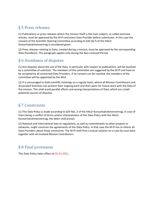# § 5 Press releases

(1) Publications or press releases where the mission itself is the main subject, so called overview articles, must be approved by the M-PI and every Data Provider before submission. In this case the consent of the Scientific Steering Committee according to §10 (6) f) of the HALO-Konsortialrahmenvertrag is considered given.

(2) Press releases relating to Data, created during a mission, must be approved by the corresponding Data Provider(s). This paragraph applies only during the Non-Licensed Period.

## § 6 Avoidance of disputes

(1) Any disputes about the use of the Data, in particular with respect to publications, will be resolved by a committee of scientists. The members of the committee are suggested by the M-PI and have to be accepted by all concerned Data Providers. If no consent can be reached, the members of the committee will be appointed by the WLA.

(2) It is encouraged to hold scientific meetings on a regular basis, where all Mission Contributors and Associated Scientists can present their ongoing work and their plans for future work with the Data of the mission. This shall avoid parallel efforts and wrong interpretations of Data, which are a both potential sources of disputes.

## § 7 Constraints

(1) This Data Policy is made according to §29 Abs. 2 of the HALO-Konsortialrahmenvertrag. In case of there being a conflict of terms and/or interpretation of this Data Policy with the HALO-Konsortialrahmenvertrag, the latter shall prevail.

(2) National and international laws or regulations, as well as commitments to other projects or networks, might constrain the agreements of this Data Policy. In that case the M-PI has to inform all Data Providers about those constraints. The M-PI shall find a mutual solution on a case-by-case basis together with all involved Mission Contributors.

# § 8 Final provisions

This Data Policy takes effect on 01.01.2021.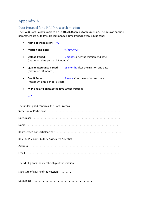# Appendix A

#### Data Protocol for a HALO research mission

The HALO Data Policy as agreed on 01.01.2020 applies to this mission. The mission specific parameters are as follows (recommended Time Periods given in blue font):

- **Name of the mission:** ???
- Mission end date: tt/mm/yyyy
- **Upload Period:** 6 months after the mission end date (maximum time period: 18 months)
- **Quality Assurance Period:** 18 months after the mission end date (maximum 30 months)
- **Credit Period:** 5 years after the mission end date (maximum time period: 5 years)
- **M-PI and affiliation at the time of the mission:**

#### ???

| The undersigned confirms the Data Protocol.     |
|-------------------------------------------------|
|                                                 |
|                                                 |
|                                                 |
| Role: M-PI / Contributor / Associated Scientist |
|                                                 |
|                                                 |
| The M-PI grants the membership of the mission.  |
| Signature of a M-PI of the mission:             |
|                                                 |